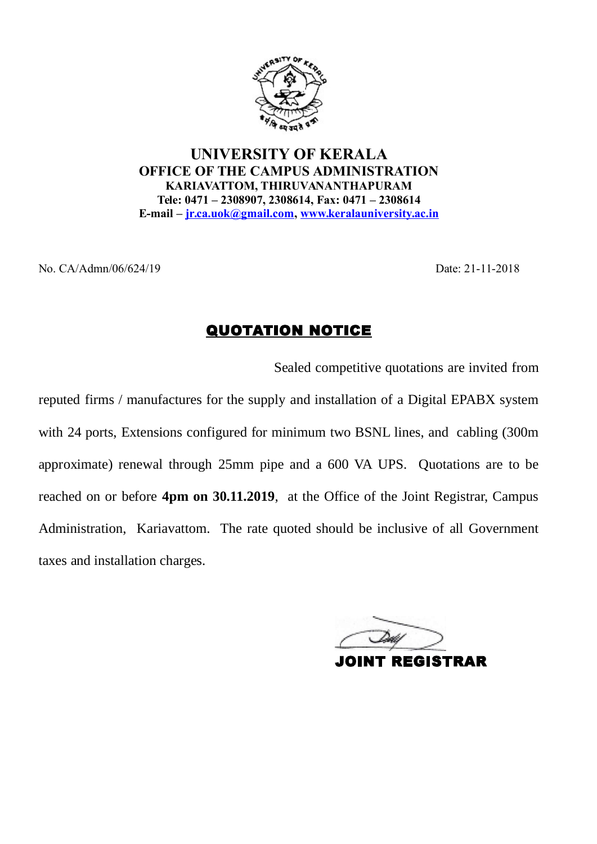

UNIVERSITY OF KERALA OFFICE OF THE CAMPUS ADMINISTRATION KARIAVATTOM, THIRUVANANTHAPURAM Tele: 0471 – 2308907, 2308614, Fax: 0471 – 2308614 E-mail – jr.ca.uok@gmail.com, www.keralauniversity.ac.in  $N_{\text{A}}$ <br>  $N_{\text{A}}$ <br>  $N_{\text{A}}$ <br>  $N_{\text{A}}$ <br>  $N_{\text{A}}$ <br>  $N_{\text{A}}$ <br>  $N_{\text{A}}$ <br>  $N_{\text{A}}$ <br>  $N_{\text{A}}$ <br>  $N_{\text{A}}$ <br>  $N_{\text{A}}$ <br>  $N_{\text{A}}$ <br>  $N_{\text{A}}$ <br>  $N_{\text{A}}$ <br>  $N_{\text{A}}$ <br>  $N_{\text{A}}$ <br>  $N_{\text{A}}$ <br>  $N_{\text{A}}$ <br>  $N_{\text{A}}$ <br>  $N_{\text{A}}$ <br>

Sealed competitive quotations are invited from

reputed firms / manufactures for the supply and installation of a Digital EPABX system with 24 ports, Extensions configured for minimum two BSNL lines, and cabling (300m approximate) renewal through 25mm pipe and a 600 VA UPS. Quotations are to be reached on or before 4pm on 30.11.2019, at the Office of the Joint Registrar, Campus Administration, Kariavattom. The rate quoted should be inclusive of all Government taxes and installation charges.

**REGISTRAR**